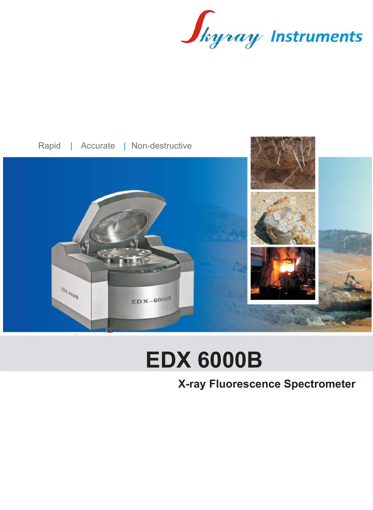Jkyray Instruments



## **EDX 6000B**

**X-ray Fluorescence Spectrometer**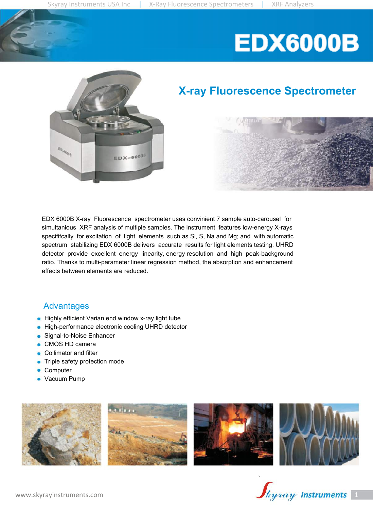# **EDX6000B**



### **X-ray Fluorescence Spectrometer**



EDX 6000B X-ray Fluorescence spectrometer uses convinient 7 sample auto-carousel for simultanious XRF analysis of multiple samples. The instrument features low-energy X-rays specififcally for excitation of light elements such as Si, S, Na and Mg; and with automatic spectrum stabilizing EDX 6000B delivers accurate results for light elements testing. UHRD detector provide excellent energy linearity, energy resolution and high peak-background ratio. Thanks to multi-parameter linear regression method, the absorption and enhancement effects between elements are reduced.

#### **Advantages**

- **Highly efficient Varian end window x-ray light tube**
- High-performance electronic cooling UHRD detector
- **Signal-to-Noise Enhancer**
- CMOS HD camera
- Collimator and filter
- Triple safety protection mode
- **Computer**
- Vacuum Pump



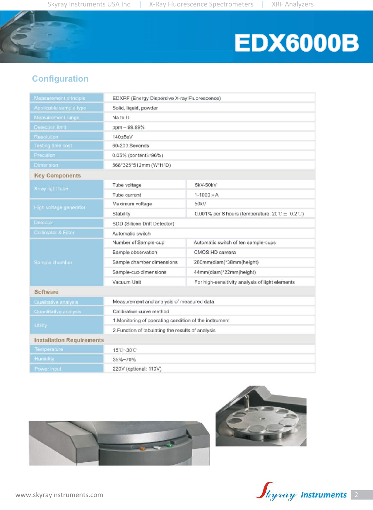# **EDX6000B**

### **Configuration**

| Measurement principle            | EDXRF (Energy Dispersive X-ray Fluorescence)           |                                                                               |
|----------------------------------|--------------------------------------------------------|-------------------------------------------------------------------------------|
| Applicable sample type           | Solid, liquid, powder                                  |                                                                               |
| Measurement range                | Na to U                                                |                                                                               |
| Detection limit                  | ppm - 99.99%                                           |                                                                               |
| Resolution                       | 140±5eV                                                |                                                                               |
| <b>Testing time cost</b>         | 60-200 Seconds                                         |                                                                               |
| Precision                        | 0.05% (content≥96%)                                    |                                                                               |
| <b>Dimension</b>                 | 568*325*512mm (W*H*D)                                  |                                                                               |
| <b>Key Components</b>            |                                                        |                                                                               |
| X-ray light tube                 | Tube voltage                                           | 5kV-50kV                                                                      |
|                                  | Tube current                                           | $1 - 1000 \mu A$                                                              |
| High voltage generator           | Maximum voltage                                        | 50kV                                                                          |
|                                  | Stability                                              | 0.001% per 8 hours (temperature: $20^\circ \text{C} \pm 0.2^\circ \text{C}$ ) |
| <b>Detector</b>                  | SDD (Silicon Drift Detector)                           |                                                                               |
| Collimator & Filter              | Automatic switch                                       |                                                                               |
| Sample chamber                   | Number of Sample-cup                                   | Automatic switch of ten sample-cups                                           |
|                                  | Sample observation                                     | CMOS HD camera                                                                |
|                                  | Sample chamber dimensions                              | 260mm(diam)*38mm(height)                                                      |
|                                  | Sample-cup dimensions                                  | 44mm(diam)*22mm(height)                                                       |
|                                  | Vacuum Unit                                            | For high-sensitivity analysis of light elements                               |
| Software                         |                                                        |                                                                               |
| Qualitative analysis             | Measurement and analysis of measured data              |                                                                               |
| Quantitative analysis            | Calibration curve method                               |                                                                               |
| <b>Utility</b>                   | 1. Monitoring of operating condition of the instrument |                                                                               |
|                                  | 2. Function of tabulating the results of analysis      |                                                                               |
| <b>Installation Requirements</b> |                                                        |                                                                               |
| Temperature                      | 15°C-30°C                                              |                                                                               |
| <b>Humidity</b>                  | 35%~70%                                                |                                                                               |
| Power input                      | 220V (optional: 110V)                                  |                                                                               |